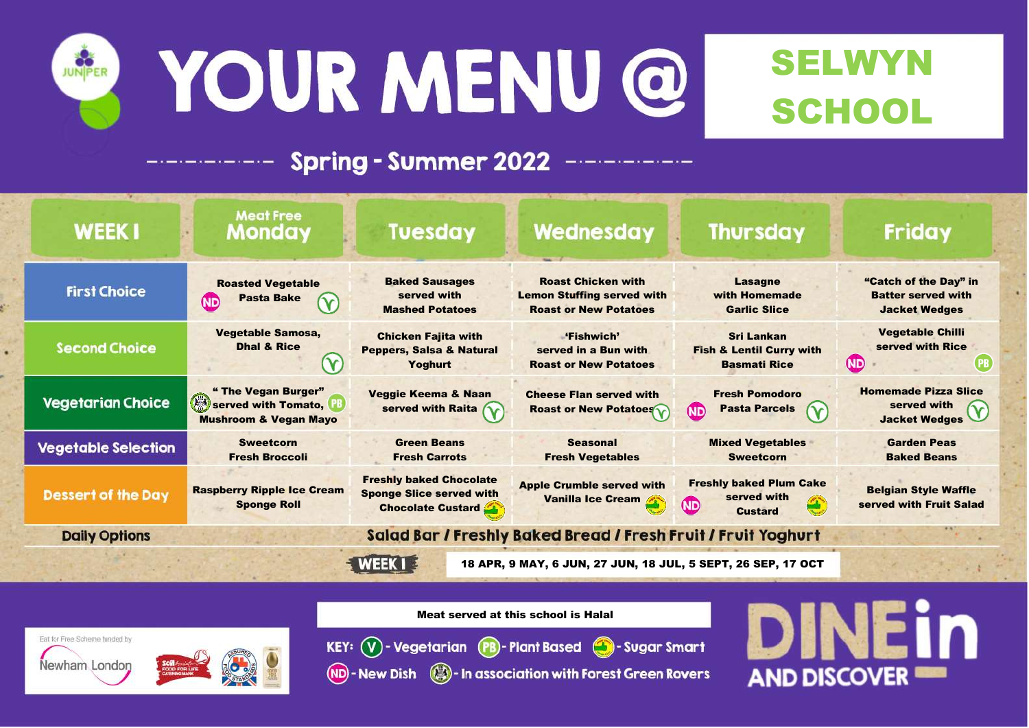

# YOUR MENU @



### **Spring - Summer 2022**

"Catch of the Day" in Batter served with Jacket Wedges

> Vegetable Chilli served with Rice

> > $(PB)$

um Cake

| <b>WEEK1</b>                                                 | <b>Meat Free</b><br><b>Monday</b>                                                                         | <b>Tuesday</b>                                                                                | Wednesday                                                                                      | <b>Thursday</b>                                                                 |  |  |
|--------------------------------------------------------------|-----------------------------------------------------------------------------------------------------------|-----------------------------------------------------------------------------------------------|------------------------------------------------------------------------------------------------|---------------------------------------------------------------------------------|--|--|
| <b>First Choice</b>                                          | <b>Roasted Vegetable</b><br><b>Pasta Bake</b><br><b>ND</b>                                                | <b>Baked Sausages</b><br>served with<br><b>Mashed Potatoes</b>                                | <b>Roast Chicken with</b><br><b>Lemon Stuffing served with</b><br><b>Roast or New Potatoes</b> | <b>Lasagne</b><br>with Homemade<br><b>Garlic Slice</b>                          |  |  |
| <b>Second Choice</b>                                         | Vegetable Samosa,<br><b>Dhal &amp; Rice</b>                                                               | <b>Chicken Fajita with</b><br><b>Peppers, Salsa &amp; Natural</b><br><b>Yoghurt</b>           | "Fishwich"<br>served in a Bun with<br><b>Roast or New Potatoes</b>                             | <b>Sri Lankan</b><br><b>Fish &amp; Lentil Curry with</b><br><b>Basmati Rice</b> |  |  |
| Vegetarian Choice                                            | " The Vegan Burger"<br>$\lambda_{\mathcal{A}}$<br>served with Tomato,<br><b>Mushroom &amp; Vegan Mayo</b> | <b>Veggie Keema &amp; Naan</b><br>served with Raita                                           | <b>Cheese Flan served with</b><br><b>Roast or New Potatoes</b>                                 | <b>Fresh Pomodoro</b><br><b>Pasta Parcels</b><br><b>ND</b>                      |  |  |
| <b>Vegetable Selection</b>                                   | <b>Sweetcorn</b><br><b>Fresh Broccoli</b>                                                                 | <b>Green Beans</b><br><b>Fresh Carrots</b>                                                    | <b>Seasonal</b><br><b>Fresh Vegetables</b>                                                     | <b>Mixed Vegetables</b><br><b>Sweetcorn</b>                                     |  |  |
| <b>Dessert of the Day</b>                                    | <b>Raspberry Ripple Ice Cream</b><br><b>Sponge Roll</b>                                                   | <b>Freshly baked Chocolate</b><br><b>Sponge Slice served with</b><br><b>Chocolate Custard</b> | <b>Apple Crumble served with</b><br><b>Vanilla Ice Cream</b>                                   | <b>Freshly baked Plum Cake</b><br>served with<br><b>ND</b><br><b>Custard</b>    |  |  |
| <b>Daily Options</b>                                         | Salad Bar / Freshly Baked Bread / Fresh Fruit / Fruit Yoghurt                                             |                                                                                               |                                                                                                |                                                                                 |  |  |
| 18 APR, 9 MAY, 6 JUN, 27 JUN, 18 JUL, 5 SEPT, 26 SEP, 17 OCT |                                                                                                           |                                                                                               |                                                                                                |                                                                                 |  |  |

Homemade Pizza Slice served with Jacket Wedges

> Garden Peas Baked Beans

Belgian Style Waffle served with Fruit Salad

## **AND DISCOVER**

### SELWYN SCHOOL

**ND** 

#### **Friday**

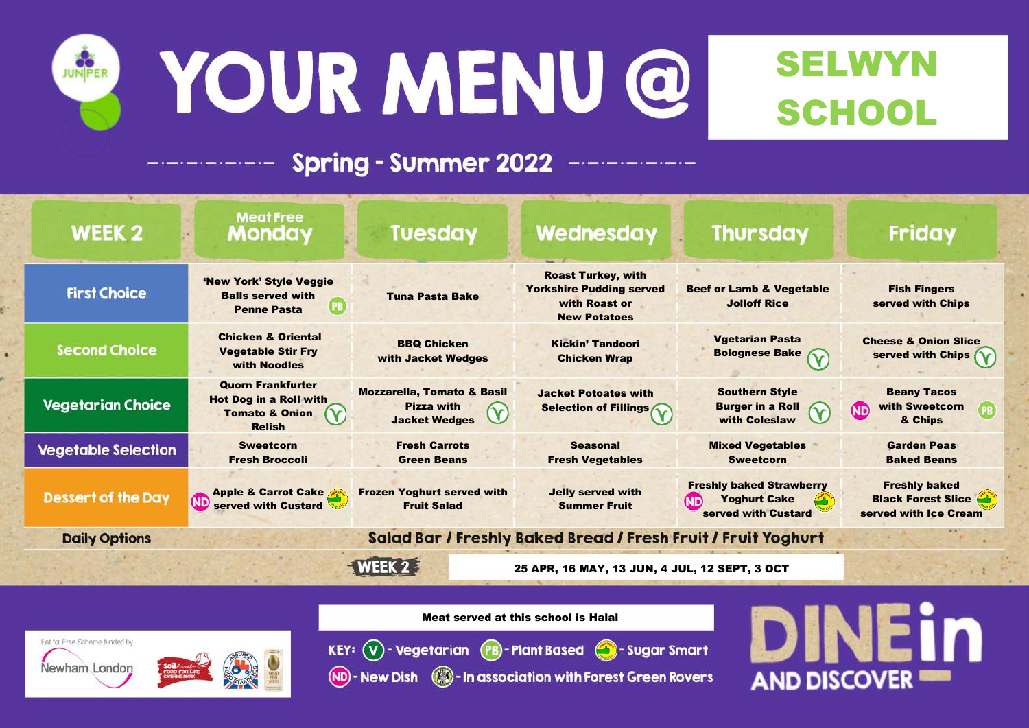

# YOUR MENU @



#### **Spring - Summer 2022**

Fish Fingers served with Chips

**Friday** 

Cheese & Onion Slice served with Chips

| <b>WEEK 2</b>              | <b>Meat Free</b><br><b>Monday</b>                                                                       | <b>Tuesday</b>                                                                     | Wednesday                                                                                            | <b>Thursdo</b>                                                           |
|----------------------------|---------------------------------------------------------------------------------------------------------|------------------------------------------------------------------------------------|------------------------------------------------------------------------------------------------------|--------------------------------------------------------------------------|
| <b>First Choice</b>        | 'New York' Style Veggie<br><b>Balls served with</b><br>(PB<br><b>Penne Pasta</b>                        | <b>Tuna Pasta Bake</b>                                                             | <b>Roast Turkey, with</b><br><b>Yorkshire Pudding served</b><br>with Roast or<br><b>New Potatoes</b> | <b>Beef or Lamb &amp; Ve</b><br><b>Jolloff Rice</b>                      |
| <b>Second Choice</b>       | <b>Chicken &amp; Oriental</b><br><b>Vegetable Stir Fry</b><br>with Noodles                              | <b>BBQ Chicken</b><br>with Jacket Wedges                                           | <b>Kickin' Tandoori</b><br><b>Chicken Wrap</b>                                                       | <b>Vgetarian Pas</b><br><b>Bolognese Ba</b>                              |
| <b>Vegetarian Choice</b>   | <b>Quorn Frankfurter</b><br><b>Hot Dog in a Roll with</b><br><b>Tomato &amp; Onion</b><br><b>Relish</b> | <b>Mozzarella, Tomato &amp; Basil</b><br><b>Pizza with</b><br><b>Jacket Wedges</b> | <b>Jacket Potoates with</b><br><b>Selection of Fillings 6</b>                                        | <b>Southern Sty</b><br><b>Burger in a Re</b><br><b>with Coleslay</b>     |
| <b>Vegetable Selection</b> | <b>Sweetcorn</b><br><b>Fresh Broccoli</b>                                                               | <b>Fresh Carrots</b><br><b>Green Beans</b>                                         | <b>Seasonal</b><br><b>Fresh Vegetables</b>                                                           | <b>Mixed Vegetab</b><br><b>Sweetcorn</b>                                 |
| <b>Dessert of the Day</b>  | <b>Apple &amp; Carrot Cake</b><br>(ND<br>served with Custard                                            | <b>Frozen Yoghurt served with</b><br><b>Fruit Salad</b>                            | <b>Jelly served with</b><br><b>Summer Fruit</b>                                                      | <b>Freshly baked Stra</b><br><b>Yoghurt Cak</b><br>ND<br>served with Cus |
| <b>Daily Options</b>       |                                                                                                         |                                                                                    | Salad Bar / Freshly Baked Bread / Fresh Fruit / Fruit Yog                                            |                                                                          |
|                            |                                                                                                         | WEEK 2                                                                             | 25 APR, 16 MAY, 13 JUN, 4 JUL, 12 SEPT, 3 OCT                                                        |                                                                          |

Beany Tacos with Sweetcorn & Chips

Garden Peas Baked Beans

Freshly baked **Black Forest Slice** served with Ice Cream

### SELWYN SCHOOL

'egetable

ay

asta  $\delta$ ake  $\delta$ 

tyle Roll aw

 $\mathbf v$ 

(ND

ables

rawberry ke ustard

ghurt

**AND DISCOVER**